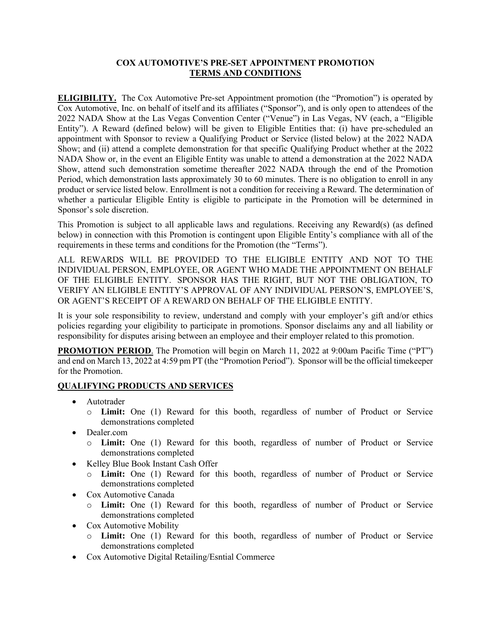## **COX AUTOMOTIVE'S PRE-SET APPOINTMENT PROMOTION TERMS AND CONDITIONS**

**ELIGIBILITY.** The Cox Automotive Pre-set Appointment promotion (the "Promotion") is operated by Cox Automotive, Inc. on behalf of itself and its affiliates ("Sponsor"), and is only open to attendees of the 2022 NADA Show at the Las Vegas Convention Center ("Venue") in Las Vegas, NV (each, a "Eligible Entity"). A Reward (defined below) will be given to Eligible Entities that: (i) have pre-scheduled an appointment with Sponsor to review a Qualifying Product or Service (listed below) at the 2022 NADA Show; and (ii) attend a complete demonstration for that specific Qualifying Product whether at the 2022 NADA Show or, in the event an Eligible Entity was unable to attend a demonstration at the 2022 NADA Show, attend such demonstration sometime thereafter 2022 NADA through the end of the Promotion Period, which demonstration lasts approximately 30 to 60 minutes. There is no obligation to enroll in any product or service listed below. Enrollment is not a condition for receiving a Reward. The determination of whether a particular Eligible Entity is eligible to participate in the Promotion will be determined in Sponsor's sole discretion.

This Promotion is subject to all applicable laws and regulations. Receiving any Reward(s) (as defined below) in connection with this Promotion is contingent upon Eligible Entity's compliance with all of the requirements in these terms and conditions for the Promotion (the "Terms").

ALL REWARDS WILL BE PROVIDED TO THE ELIGIBLE ENTITY AND NOT TO THE INDIVIDUAL PERSON, EMPLOYEE, OR AGENT WHO MADE THE APPOINTMENT ON BEHALF OF THE ELIGIBLE ENTITY. SPONSOR HAS THE RIGHT, BUT NOT THE OBLIGATION, TO VERIFY AN ELIGIBLE ENTITY'S APPROVAL OF ANY INDIVIDUAL PERSON'S, EMPLOYEE'S, OR AGENT'S RECEIPT OF A REWARD ON BEHALF OF THE ELIGIBLE ENTITY.

It is your sole responsibility to review, understand and comply with your employer's gift and/or ethics policies regarding your eligibility to participate in promotions. Sponsor disclaims any and all liability or responsibility for disputes arising between an employee and their employer related to this promotion.

**PROMOTION PERIOD**. The Promotion will begin on March 11, 2022 at 9:00am Pacific Time ("PT") and end on March 13, 2022 at 4:59 pm PT (the "Promotion Period"). Sponsor will be the official timekeeper for the Promotion.

## **QUALIFYING PRODUCTS AND SERVICES**

- Autotrader
	- o **Limit:** One (1) Reward for this booth, regardless of number of Product or Service demonstrations completed
- Dealer.com
	- o **Limit:** One (1) Reward for this booth, regardless of number of Product or Service demonstrations completed
- Kelley Blue Book Instant Cash Offer
	- o **Limit:** One (1) Reward for this booth, regardless of number of Product or Service demonstrations completed
- Cox Automotive Canada
	- o **Limit:** One (1) Reward for this booth, regardless of number of Product or Service demonstrations completed
- Cox Automotive Mobility
	- o **Limit:** One (1) Reward for this booth, regardless of number of Product or Service demonstrations completed
- Cox Automotive Digital Retailing/Esntial Commerce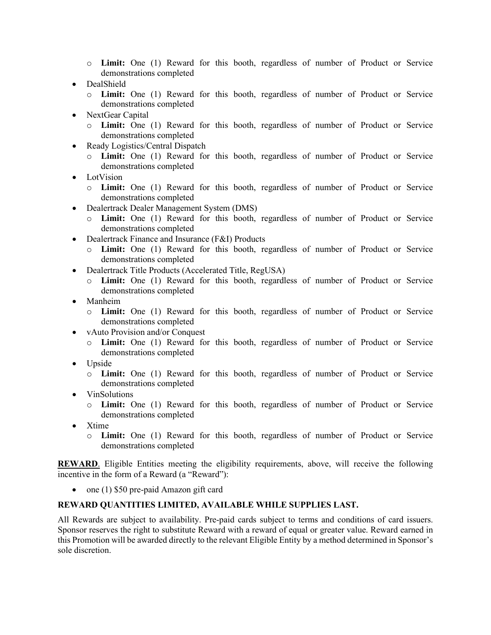- o **Limit:** One (1) Reward for this booth, regardless of number of Product or Service demonstrations completed
- DealShield
	- o **Limit:** One (1) Reward for this booth, regardless of number of Product or Service demonstrations completed
- NextGear Capital
	- o **Limit:** One (1) Reward for this booth, regardless of number of Product or Service demonstrations completed
- Ready Logistics/Central Dispatch
	- o **Limit:** One (1) Reward for this booth, regardless of number of Product or Service demonstrations completed
- LotVision
	- o **Limit:** One (1) Reward for this booth, regardless of number of Product or Service demonstrations completed
- Dealertrack Dealer Management System (DMS)
	- o **Limit:** One (1) Reward for this booth, regardless of number of Product or Service demonstrations completed
- Dealertrack Finance and Insurance (F&I) Products
	- o **Limit:** One (1) Reward for this booth, regardless of number of Product or Service demonstrations completed
- Dealertrack Title Products (Accelerated Title, RegUSA)
	- o **Limit:** One (1) Reward for this booth, regardless of number of Product or Service demonstrations completed
- Manheim
	- o **Limit:** One (1) Reward for this booth, regardless of number of Product or Service demonstrations completed
- vAuto Provision and/or Conquest
	- o **Limit:** One (1) Reward for this booth, regardless of number of Product or Service demonstrations completed
- Upside
	- o **Limit:** One (1) Reward for this booth, regardless of number of Product or Service demonstrations completed
- VinSolutions
	- o **Limit:** One (1) Reward for this booth, regardless of number of Product or Service demonstrations completed
- Xtime
	- o **Limit:** One (1) Reward for this booth, regardless of number of Product or Service demonstrations completed

**REWARD**. Eligible Entities meeting the eligibility requirements, above, will receive the following incentive in the form of a Reward (a "Reward"):

• one (1) \$50 pre-paid Amazon gift card

## **REWARD QUANTITIES LIMITED, AVAILABLE WHILE SUPPLIES LAST.**

All Rewards are subject to availability. Pre-paid cards subject to terms and conditions of card issuers. Sponsor reserves the right to substitute Reward with a reward of equal or greater value. Reward earned in this Promotion will be awarded directly to the relevant Eligible Entity by a method determined in Sponsor's sole discretion.